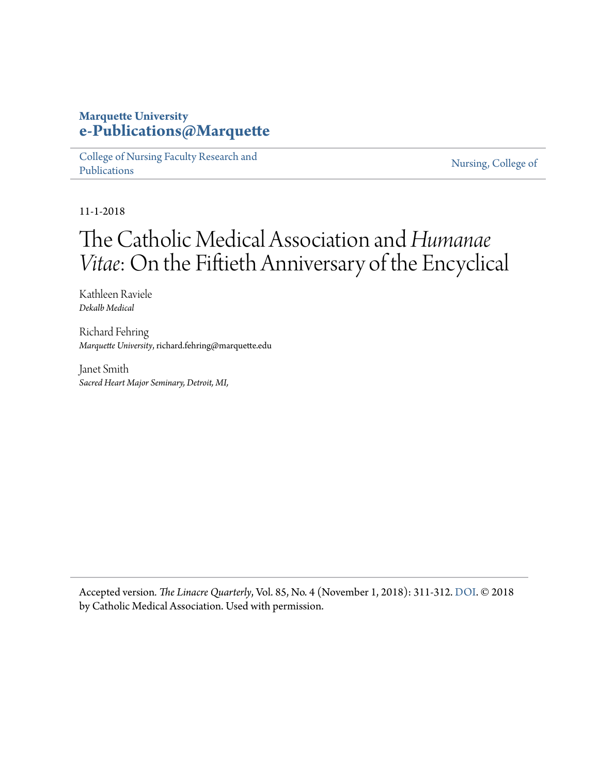#### **Marquette University [e-Publications@Marquette](https://epublications.marquette.edu)**

[College of Nursing Faculty Research and](https://epublications.marquette.edu/nursing_fac) [Publications](https://epublications.marquette.edu/nursing_fac)

[Nursing, College of](https://epublications.marquette.edu/nursing)

11-1-2018

## The Catholic Medical Association and*Humanae Vitae*: On the Fiftieth Anniversary of the Encyclical

Kathleen Raviele *Dekalb Medical*

Richard Fehring *Marquette University*, richard.fehring@marquette.edu

Janet Smith *Sacred Heart Major Seminary, Detroit, MI,*

Accepted version*. The Linacre Quarterly*, Vol. 85, No. 4 (November 1, 2018): 311-312. [DOI.](https://doi.org/10.1177%2F0024363918816677) © 2018 by Catholic Medical Association. Used with permission.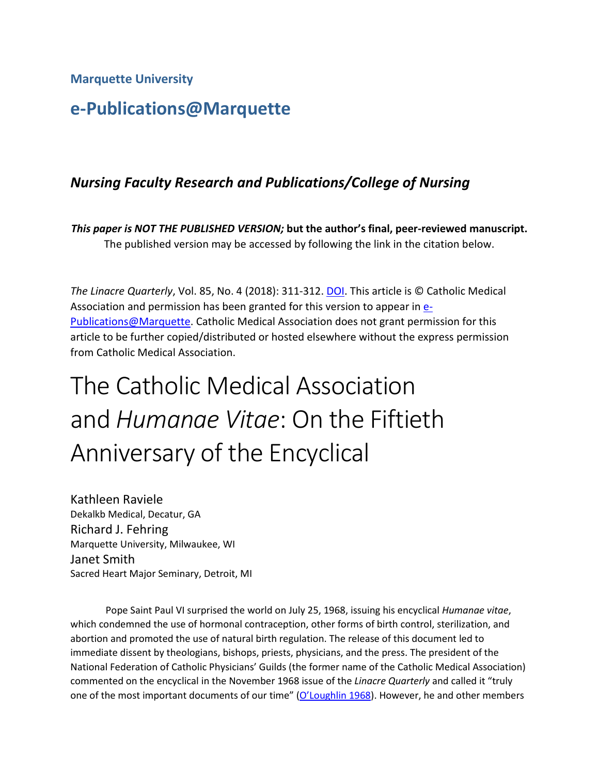**Marquette University** 

### **e-Publications@Marquette**

#### *Nursing Faculty Research and Publications/College of Nursing*

*This paper is NOT THE PUBLISHED VERSION;* **but the author's final, peer-reviewed manuscript.**  The published version may be accessed by following the link in the citation below.

 *The Linacre Quarterly*, Vol. 85, No. 4 (2018): 311-312. [DOI.](https://www.doi.org/10.1177/0024363918816677) This article is © Catholic Medical Association and permission has been granted for this version to appear in **e-**[Publications@Marquette.](http://epublications.marquette.edu/) Catholic Medical Association does not grant permission for this article to be further copied/distributed or hosted elsewhere without the express permission from Catholic Medical Association.

# The Catholic Medical Association and *Humanae Vitae*: On the Fiftieth Anniversary of the Encyclical

Kathleen Raviele Dekalkb Medical, Decatur, GA Richard J. Fehring Marquette University, Milwaukee, WI Janet Smith Sacred Heart Major Seminary, Detroit, MI

 Pope Saint Paul VI surprised the world on July 25, 1968, issuing his encyclical *Humanae vitae*, abortion and promoted the use of natural birth regulation. The release of this document led to immediate dissent by theologians, bishops, priests, physicians, and the press. The president of the commented on the encyclical in the November 1968 issue of the *Linacre Quarterly* and called it "truly one of the most important documents of our time" [\(O'Loughlin 1968\)](https://journals.sagepub.com/doi/10.1177/0024363918816677). However, he and other members which condemned the use of hormonal contraception, other forms of birth control, sterilization, and National Federation of Catholic Physicians' Guilds (the former name of the Catholic Medical Association)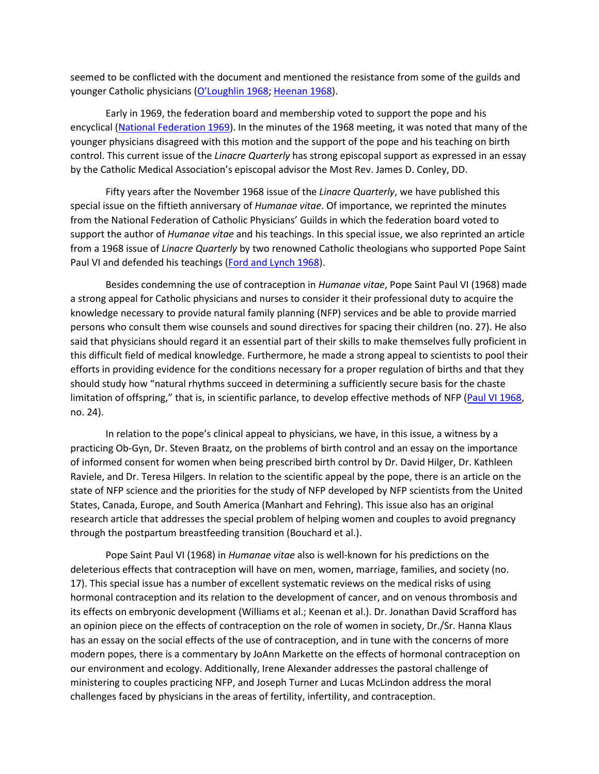seemed to be conflicted with the document and mentioned the resistance from some of the guilds and younger Catholic physicians [\(O'Loughlin 1968; Heenan 1968\)](https://journals.sagepub.com/doi/10.1177/0024363918816677).

 Early in 1969, the federation board and membership voted to support the pope and his encyclical [\(National Federation 1969\)](https://journals.sagepub.com/doi/10.1177/0024363918816677). In the minutes of the 1968 meeting, it was noted that many of the younger physicians disagreed with this motion and the support of the pope and his teaching on birth control. This current issue of the *Linacre Quarterly* has strong episcopal support as expressed in an essay by the Catholic Medical Association's episcopal advisor the Most Rev. James D. Conley, DD.

 special issue on the fiftieth anniversary of *Humanae vitae*. Of importance, we reprinted the minutes from a 1968 issue of *Linacre Quarterly* by two renowned Catholic theologians who supported Pope Saint Fifty years after the November 1968 issue of the *Linacre Quarterly*, we have published this from the National Federation of Catholic Physicians' Guilds in which the federation board voted to support the author of *Humanae vitae* and his teachings. In this special issue, we also reprinted an article Paul VI and defended his teachings [\(Ford and Lynch 1968\)](https://journals.sagepub.com/doi/10.1177/0024363918816677).

 knowledge necessary to provide natural family planning (NFP) services and be able to provide married efforts in providing evidence for the conditions necessary for a proper regulation of births and that they should study how "natural rhythms succeed in determining a sufficiently secure basis for the chaste Besides condemning the use of contraception in *Humanae vitae*, Pope Saint Paul VI (1968) made a strong appeal for Catholic physicians and nurses to consider it their professional duty to acquire the persons who consult them wise counsels and sound directives for spacing their children (no. 27). He also said that physicians should regard it an essential part of their skills to make themselves fully proficient in this difficult field of medical knowledge. Furthermore, he made a strong appeal to scientists to pool their limitation of offspring," that is, in scientific parlance, to develop effective methods of NFP [\(Paul VI 1968,](https://journals.sagepub.com/doi/10.1177/0024363918816677) no. 24).

 practicing Ob-Gyn, Dr. Steven Braatz, on the problems of birth control and an essay on the importance Raviele, and Dr. Teresa Hilgers. In relation to the scientific appeal by the pope, there is an article on the state of NFP science and the priorities for the study of NFP developed by NFP scientists from the United States, Canada, Europe, and South America (Manhart and Fehring). This issue also has an original research article that addresses the special problem of helping women and couples to avoid pregnancy In relation to the pope's clinical appeal to physicians, we have, in this issue, a witness by a of informed consent for women when being prescribed birth control by Dr. David Hilger, Dr. Kathleen through the postpartum breastfeeding transition (Bouchard et al.).

 deleterious effects that contraception will have on men, women, marriage, families, and society (no. 17). This special issue has a number of excellent systematic reviews on the medical risks of using hormonal contraception and its relation to the development of cancer, and on venous thrombosis and its effects on embryonic development (Williams et al.; Keenan et al.). Dr. Jonathan David Scrafford has an opinion piece on the effects of contraception on the role of women in society, Dr./Sr. Hanna Klaus has an essay on the social effects of the use of contraception, and in tune with the concerns of more modern popes, there is a commentary by JoAnn Markette on the effects of hormonal contraception on challenges faced by physicians in the areas of fertility, infertility, and contraception. Pope Saint Paul VI (1968) in *Humanae vitae* also is well-known for his predictions on the our environment and ecology. Additionally, Irene Alexander addresses the pastoral challenge of ministering to couples practicing NFP, and Joseph Turner and Lucas McLindon address the moral